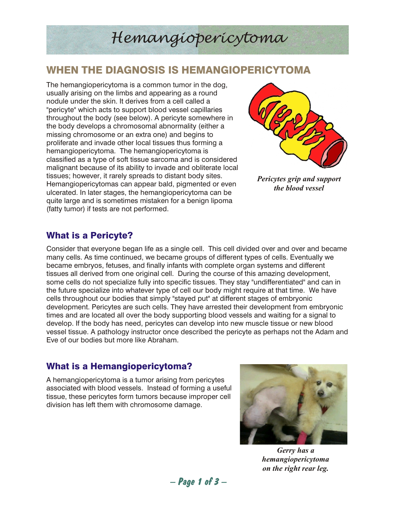# *Hemangiopericytoma*

## WHEN THE DIAGNOSIS IS HEMANGIOPERICYTOMA

The hemangiopericytoma is a common tumor in the dog, usually arising on the limbs and appearing as a round nodule under the skin. It derives from a cell called a "pericyte" which acts to support blood vessel capillaries throughout the body (see below). A pericyte somewhere in the body develops a chromosomal abnormality (either a missing chromosome or an extra one) and begins to proliferate and invade other local tissues thus forming a hemangiopericytoma. The hemangiopericytoma is classified as a type of soft tissue sarcoma and is considered malignant because of its ability to invade and obliterate local tissues; however, it rarely spreads to distant body sites. Hemangiopericytomas can appear bald, pigmented or even ulcerated. In later stages, the hemangiopericytoma can be quite large and is sometimes mistaken for a benign lipoma (fatty tumor) if tests are not performed.



*Pericytes grip and support the blood vessel*

## What is a Pericyte?

Consider that everyone began life as a single cell. This cell divided over and over and became many cells. As time continued, we became groups of different types of cells. Eventually we became embryos, fetuses, and finally infants with complete organ systems and different tissues all derived from one original cell. During the course of this amazing development, some cells do not specialize fully into specific tissues. They stay "undifferentiated" and can in the future specialize into whatever type of cell our body might require at that time. We have cells throughout our bodies that simply "stayed put" at different stages of embryonic development. Pericytes are such cells. They have arrested their development from embryonic times and are located all over the body supporting blood vessels and waiting for a signal to develop. If the body has need, pericytes can develop into new muscle tissue or new blood vessel tissue. A pathology instructor once described the pericyte as perhaps not the Adam and Eve of our bodies but more like Abraham.

## What is a Hemangiopericytoma?

A hemangiopericytoma is a tumor arising from pericytes associated with blood vessels. Instead of forming a useful tissue, these pericytes form tumors because improper cell division has left them with chromosome damage.



*Gerry has a hemangiopericytoma on the right rear leg.*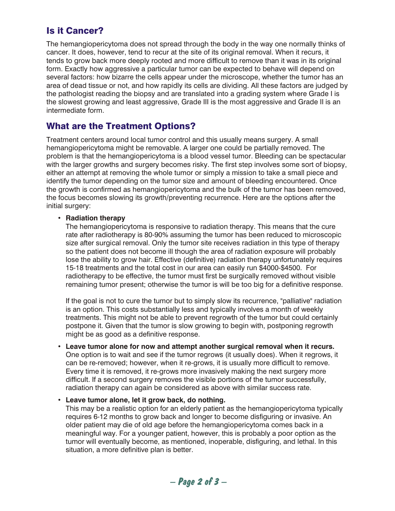## Is it Cancer?

The hemangiopericytoma does not spread through the body in the way one normally thinks of cancer. It does, however, tend to recur at the site of its original removal. When it recurs, it tends to grow back more deeply rooted and more difficult to remove than it was in its original form. Exactly how aggressive a particular tumor can be expected to behave will depend on several factors: how bizarre the cells appear under the microscope, whether the tumor has an area of dead tissue or not, and how rapidly its cells are dividing. All these factors are judged by the pathologist reading the biopsy and are translated into a grading system where Grade I is the slowest growing and least aggressive, Grade III is the most aggressive and Grade II is an intermediate form.

### What are the Treatment Options?

Treatment centers around local tumor control and this usually means surgery. A small hemangiopericytoma might be removable. A larger one could be partially removed. The problem is that the hemangiopericytoma is a blood vessel tumor. Bleeding can be spectacular with the larger growths and surgery becomes risky. The first step involves some sort of biopsy, either an attempt at removing the whole tumor or simply a mission to take a small piece and identify the tumor depending on the tumor size and amount of bleeding encountered. Once the growth is confirmed as hemangiopericytoma and the bulk of the tumor has been removed, the focus becomes slowing its growth/preventing recurrence. Here are the options after the initial surgery:

#### • **Radiation therapy**

The hemangiopericytoma is responsive to radiation therapy. This means that the cure rate after radiotherapy is 80-90% assuming the tumor has been reduced to microscopic size after surgical removal. Only the tumor site receives radiation in this type of therapy so the patient does not become ill though the area of radiation exposure will probably lose the ability to grow hair. Effective (definitive) radiation therapy unfortunately requires 15-18 treatments and the total cost in our area can easily run \$4000-\$4500. For radiotherapy to be effective, the tumor must first be surgically removed without visible remaining tumor present; otherwise the tumor is will be too big for a definitive response.

If the goal is not to cure the tumor but to simply slow its recurrence, "palliative" radiation is an option. This costs substantially less and typically involves a month of weekly treatments. This might not be able to prevent regrowth of the tumor but could certainly postpone it. Given that the tumor is slow growing to begin with, postponing regrowth might be as good as a definitive response.

• **Leave tumor alone for now and attempt another surgical removal when it recurs.** One option is to wait and see if the tumor regrows (it usually does). When it regrows, it can be re-removed; however, when it re-grows, it is usually more difficult to remove. Every time it is removed, it re-grows more invasively making the next surgery more difficult. If a second surgery removes the visible portions of the tumor successfully, radiation therapy can again be considered as above with similar success rate.

#### • **Leave tumor alone, let it grow back, do nothing.**

This may be a realistic option for an elderly patient as the hemangiopericytoma typically requires 6-12 months to grow back and longer to become disfiguring or invasive. An older patient may die of old age before the hemangiopericytoma comes back in a meaningful way. For a younger patient, however, this is probably a poor option as the tumor will eventually become, as mentioned, inoperable, disfiguring, and lethal. In this situation, a more definitive plan is better.